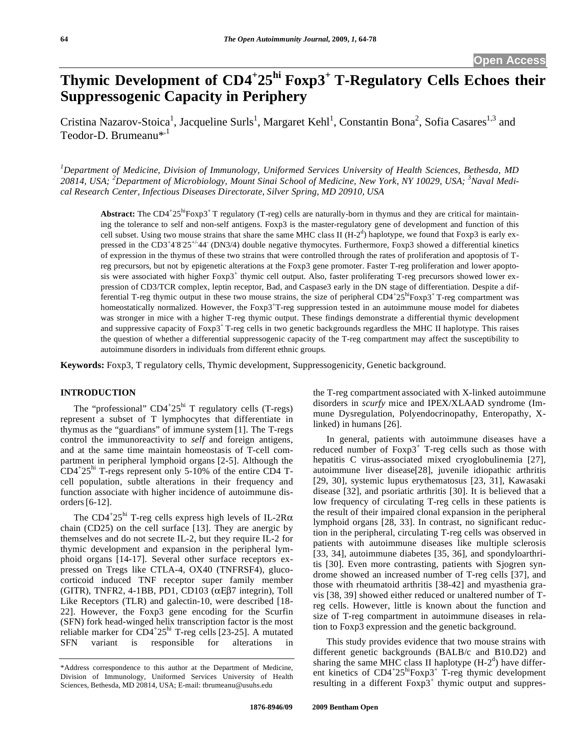# **Thymic Development of CD4<sup>+</sup> 25hi Foxp3+ T-Regulatory Cells Echoes their Suppressogenic Capacity in Periphery**

Cristina Nazarov-Stoica<sup>1</sup>, Jacqueline Surls<sup>1</sup>, Margaret Kehl<sup>1</sup>, Constantin Bona<sup>2</sup>, Sofia Casares<sup>1,3</sup> and Teodor-D. Brumeanu<sup>\*,1</sup>

*1 Department of Medicine, Division of Immunology, Uniformed Services University of Health Sciences, Bethesda, MD 20814, USA; <sup>2</sup> Department of Microbiology, Mount Sinai School of Medicine, New York, NY 10029, USA; <sup>3</sup> Naval Medical Research Center, Infectious Diseases Directorate, Silver Spring, MD 20910, USA* 

Abstract: The CD4<sup>+</sup>25<sup>hi</sup>Foxp3<sup>+</sup> T regulatory (T-reg) cells are naturally-born in thymus and they are critical for maintaining the tolerance to self and non-self antigens. Foxp3 is the master-regulatory gene of development and function of this cell subset. Using two mouse strains that share the same MHC class II  $(H-2^d)$  haplotype, we found that Foxp3 is early expressed in the  $CD3^+43^+25^{+/44}$  (DN3/4) double negative thymocytes. Furthermore, Foxp3 showed a differential kinetics of expression in the thymus of these two strains that were controlled through the rates of proliferation and apoptosis of Treg precursors, but not by epigenetic alterations at the Foxp3 gene promoter. Faster T-reg proliferation and lower apoptosis were associated with higher  $F\text{ox}p3^+$  thymic cell output. Also, faster proliferating T-reg precursors showed lower expression of CD3/TCR complex, leptin receptor, Bad, and Caspase3 early in the DN stage of differentiation. Despite a differential T-reg thymic output in these two mouse strains, the size of peripheral  $CD4^+25^{\text{hi}}F\text{ox}p3^+$  T-reg compartment was homeostatically normalized. However, the Foxp3<sup>+</sup>T-reg suppression tested in an autoimmune mouse model for diabetes was stronger in mice with a higher T-reg thymic output. These findings demonstrate a differential thymic development and suppressive capacity of Foxp3+T-reg cells in two genetic backgrounds regardless the MHC II haplotype. This raises the question of whether a differential suppressogenic capacity of the T-reg compartment may affect the susceptibility to autoimmune disorders in individuals from different ethnic groups.

**Keywords:** Foxp3, T regulatory cells, Thymic development, Suppressogenicity, Genetic background.

# **INTRODUCTION**

The "professional"  $CD4+25$ <sup>hi</sup> T regulatory cells (T-regs) represent a subset of T lymphocytes that differentiate in thymus as the "guardians" of immune system [1]. The T-regs control the immunoreactivity to *self* and foreign antigens, and at the same time maintain homeostasis of T-cell compartment in peripheral lymphoid organs [2-5]. Although the  $CD4+25$ <sup>hi</sup> T-regs represent only 5-10% of the entire CD4 Tcell population, subtle alterations in their frequency and function associate with higher incidence of autoimmune disorders[6-12].

The CD4<sup>+</sup>25<sup>hi</sup> T-reg cells express high levels of IL-2R $\alpha$ chain (CD25) on the cell surface [13]. They are anergic by themselves and do not secrete IL-2, but they require IL-2 for thymic development and expansion in the peripheral lymphoid organs [14-17]. Several other surface receptors expressed on Tregs like CTLA-4, OX40 (TNFRSF4), glucocorticoid induced TNF receptor super family member (GITR), TNFR2, 4-1BB, PD1, CD103 ( $\alpha$ E $\beta$ 7 integrin), Toll Like Receptors (TLR) and galectin-10, were described [18- 22]. However, the Foxp3 gene encoding for the Scurfin (SFN) fork head-winged helix transcription factor is the most reliable marker for  $CD4+25$ <sup>hi</sup> T-reg cells [23-25]. A mutated SFN variant is responsible for alterations in

the T-reg compartment associated with X-linked autoimmune disorders in *scurfy* mice and IPEX/XLAAD syndrome (Immune Dysregulation, Polyendocrinopathy, Enteropathy, Xlinked) in humans [26].

 In general, patients with autoimmune diseases have a reduced number of Foxp3<sup>+</sup> T-reg cells such as those with hepatitis C virus-associated mixed cryoglobulinemia [27], autoimmune liver disease[28], juvenile idiopathic arthritis [29, 30], systemic lupus erythematosus [23, 31], Kawasaki disease [32], and psoriatic arthritis [30]. It is believed that a low frequency of circulating T-reg cells in these patients is the result of their impaired clonal expansion in the peripheral lymphoid organs [28, 33]. In contrast, no significant reduction in the peripheral, circulating T-reg cells was observed in patients with autoimmune diseases like multiple sclerosis [33, 34], autoimmune diabetes [35, 36], and spondyloarthritis [30]. Even more contrasting, patients with Sjogren syndrome showed an increased number of T-reg cells [37], and those with rheumatoid arthritis [38-42] and myasthenia gravis [38, 39] showed either reduced or unaltered number of Treg cells. However, little is known about the function and size of T-reg compartment in autoimmune diseases in relation to Foxp3 expression and the genetic background.

 This study provides evidence that two mouse strains with different genetic backgrounds (BALB/c and B10.D2) and sharing the same MHC class II haplotype  $(H-2<sup>d</sup>)$  have different kinetics of  $CD4+25^{\text{hi}}F\text{ox}p3+T\text{-reg}$  thymic development resulting in a different  $F\alpha p3^+$  thymic output and suppres-

<sup>\*</sup>Address correspondence to this author at the Department of Medicine, Division of Immunology, Uniformed Services University of Health Sciences, Bethesda, MD 20814, USA; E-mail: tbrumeanu@usuhs.edu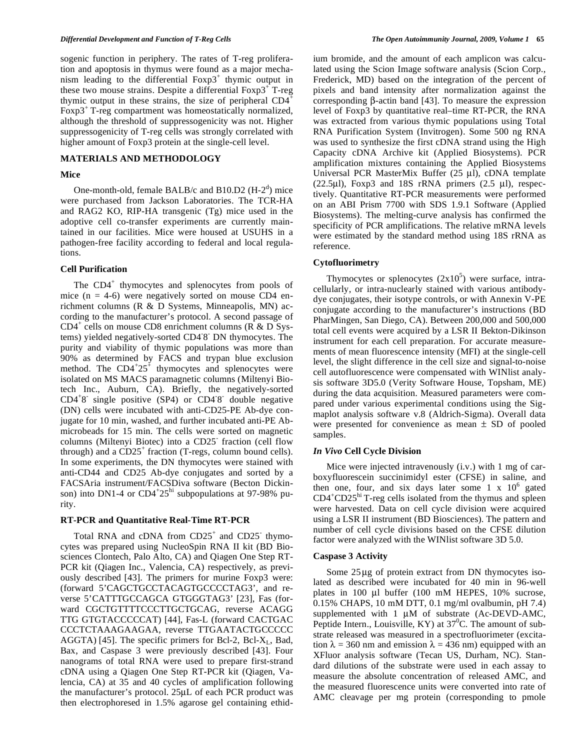sogenic function in periphery. The rates of T-reg proliferation and apoptosis in thymus were found as a major mechanism leading to the differential  $F\alpha p3^+$  thymic output in these two mouse strains. Despite a differential  $Foxp3^+$ T-reg thymic output in these strains, the size of peripheral  $CD4^+$ Foxp $3<sup>+</sup>$  T-reg compartment was homeostatically normalized, although the threshold of suppressogenicity was not. Higher suppressogenicity of T-reg cells was strongly correlated with higher amount of Foxp3 protein at the single-cell level.

# **MATERIALS AND METHODOLOGY**

#### **Mice**

One-month-old, female BALB/c and B10.D2  $(H-2<sup>d</sup>)$  mice were purchased from Jackson Laboratories. The TCR-HA and RAG2 KO, RIP-HA transgenic (Tg) mice used in the adoptive cell co-transfer experiments are currently maintained in our facilities. Mice were housed at USUHS in a pathogen-free facility according to federal and local regulations.

#### **Cell Purification**

The CD4<sup>+</sup> thymocytes and splenocytes from pools of mice  $(n = 4-6)$  were negatively sorted on mouse CD4 enrichment columns (R & D Systems, Minneapolis, MN) according to the manufacturer's protocol. A second passage of  $CD4^+$  cells on mouse CD8 enrichment columns ( $\overrightarrow{R}$  & D Systems) yielded negatively-sorted CD4- 8- DN thymocytes. The purity and viability of thymic populations was more than 90% as determined by FACS and trypan blue exclusion method. The  $CD4+25$ <sup> $\pm$ </sup> thymocytes and splenocytes were isolated on MS MACS paramagnetic columns (Miltenyi Biotech Inc., Auburn, CA). Briefly, the negatively-sorted CD4<sup>+</sup> 8- single positive (SP4) or CD4- 8- double negative (DN) cells were incubated with anti-CD25-PE Ab-dye conjugate for 10 min, washed, and further incubated anti-PE Abmicrobeads for 15 min. The cells were sorted on magnetic columns (Miltenyi Biotec) into a CD25- fraction (cell flow through) and a  $CD25<sup>+</sup>$  fraction (T-regs, column bound cells). In some experiments, the DN thymocytes were stained with anti-CD44 and CD25 Ab-dye conjugates and sorted by a FACSAria instrument/FACSDiva software (Becton Dickinson) into DN1-4 or CD4<sup>+</sup>25<sup>hi</sup> subpopulations at 97-98% purity.

# **RT-PCR and Quantitative Real-Time RT-PCR**

Total RNA and cDNA from CD25<sup>+</sup> and CD25<sup>-</sup> thymocytes was prepared using NucleoSpin RNA II kit (BD Biosciences Clontech, Palo Alto, CA) and Qiagen One Step RT-PCR kit (Qiagen Inc., Valencia, CA) respectively, as previously described [43]. The primers for murine Foxp3 were: (forward 5'CAGCTGCCTACAGTGCCCCTAG3', and reverse 5'CATTTGCCAGCA GTGGGTAG3' [23], Fas (forward CGCTGTTTTCCCTTGCTGCAG, reverse ACAGG TTG GTGTACCCCCAT) [44], Fas-L (forward CACTGAC CCCTCTAAAGAAGAA, reverse TTGAATACTGCCCCC AGGTA) [45]. The specific primers for Bcl-2, Bcl- $X_L$ , Bad, Bax, and Caspase 3 were previously described [43]. Four nanograms of total RNA were used to prepare first-strand cDNA using a Qiagen One Step RT-PCR kit (Qiagen, Valencia, CA) at 35 and 40 cycles of amplification following the manufacturer's protocol. 25μL of each PCR product was then electrophoresed in 1.5% agarose gel containing ethidium bromide, and the amount of each amplicon was calculated using the Scion Image software analysis (Scion Corp., Frederick, MD) based on the integration of the percent of pixels and band intensity after normalization against the corresponding  $\beta$ -actin band [43]. To measure the expression level of Foxp3 by quantitative real–time RT-PCR*,* the RNA was extracted from various thymic populations using Total RNA Purification System (Invitrogen). Some 500 ng RNA was used to synthesize the first cDNA strand using the High Capacity cDNA Archive kit (Applied Biosystems). PCR amplification mixtures containing the Applied Biosystems Universal PCR MasterMix Buffer (25 μl), cDNA template (22.5μl), Foxp3 and 18S rRNA primers (2.5 μl), respectively. Quantitative RT-PCR measurements were performed on an ABI Prism 7700 with SDS 1.9.1 Software (Applied Biosystems). The melting-curve analysis has confirmed the specificity of PCR amplifications. The relative mRNA levels were estimated by the standard method using 18S rRNA as reference.

# **Cytofluorimetry**

Thymocytes or splenocytes  $(2x10^5)$  were surface, intracellularly, or intra-nuclearly stained with various antibodydye conjugates, their isotype controls, or with Annexin V-PE conjugate according to the manufacturer's instructions (BD PharMingen, San Diego, CA). Between 200,000 and 500,000 total cell events were acquired by a LSR II Bekton-Dikinson instrument for each cell preparation. For accurate measurements of mean fluorescence intensity (MFI) at the single-cell level, the slight difference in the cell size and signal-to-noise cell autofluorescence were compensated with WINlist analysis software 3D5.0 (Verity Software House, Topsham, ME) during the data acquisition. Measured parameters were compared under various experimental conditions using the Sigmaplot analysis software v.8 (Aldrich-Sigma). Overall data were presented for convenience as mean  $\pm$  SD of pooled samples.

# *In Vivo* **Cell Cycle Division**

 Mice were injected intravenously (i.v.) with 1 mg of carboxyfluorescein succinimidyl ester (CFSE) in saline, and then one, four, and six days later some  $1 \times 10^6$  gated CD4<sup>+</sup>CD25<sup>hi</sup> T-reg cells isolated from the thymus and spleen were harvested. Data on cell cycle division were acquired using a LSR II instrument (BD Biosciences). The pattern and number of cell cycle divisions based on the CFSE dilution factor were analyzed with the WINlist software 3D 5.0.

# **Caspase 3 Activity**

 Some 25μg of protein extract from DN thymocytes isolated as described were incubated for 40 min in 96-well plates in 100 μl buffer (100 mM HEPES, 10% sucrose, 0.15% CHAPS, 10 mM DTT, 0.1 mg/ml ovalbumin, pH 7.4) supplemented with 1 μM of substrate (Ac-DEVD-AMC, Peptide Intern., Louisville,  $KY)$  at 37<sup>0</sup>C. The amount of substrate released was measured in a spectrofluorimeter (excitation  $\lambda = 360$  nm and emission  $\lambda = 436$  nm) equipped with an XFluor analysis software (Tecan US, Durham, NC). Standard dilutions of the substrate were used in each assay to measure the absolute concentration of released AMC, and the measured fluorescence units were converted into rate of AMC cleavage per mg protein (corresponding to pmole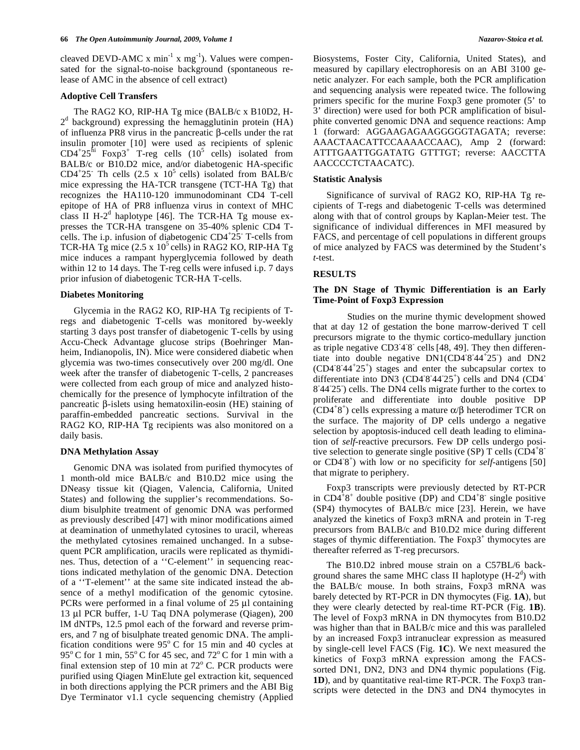cleaved DEVD-AMC  $x \text{ min}^{-1} x \text{ mg}^{-1}$ ). Values were compensated for the signal-to-noise background (spontaneous release of AMC in the absence of cell extract)

#### **Adoptive Cell Transfers**

 The RAG2 KO, RIP-HA Tg mice (BALB/c x B10D2, H- $2<sup>d</sup>$  background) expressing the hemagglutinin protein (HA) of influenza PR8 virus in the pancreatic  $\beta$ -cells under the rat insulin promoter [10] were used as recipients of splenic  $CD4+25$ <sup>hi</sup> Foxp3<sup>+</sup> T-reg cells  $(10^5 \text{ cells})$  isolated from BALB/c or B10.D2 mice, and/or diabetogenic HA-specific CD4<sup>+</sup>25<sup>-</sup> Th cells (2.5 x  $10^5$  cells) isolated from BALB/c mice expressing the HA-TCR transgene (TCT-HA Tg) that recognizes the HA110-120 immunodominant CD4 T-cell epitope of HA of PR8 influenza virus in context of MHC class II  $H-2<sup>d</sup>$  haplotype [46]. The TCR-HA Tg mouse expresses the TCR-HA transgene on 35-40% splenic CD4 Tcells. The i.p. infusion of diabetogenic  $CD4+25$ <sup>-</sup>T-cells from TCR-HA Tg mice  $(2.5 \times 10^5 \text{ cells})$  in RAG2 KO, RIP-HA Tg mice induces a rampant hyperglycemia followed by death within 12 to 14 days. The T-reg cells were infused i.p. 7 days prior infusion of diabetogenic TCR-HA T-cells.

### **Diabetes Monitoring**

 Glycemia in the RAG2 KO, RIP-HA Tg recipients of Tregs and diabetogenic T-cells was monitored by-weekly starting 3 days post transfer of diabetogenic T-cells by using Accu-Check Advantage glucose strips (Boehringer Manheim, Indianopolis, IN). Mice were considered diabetic when glycemia was two-times consecutively over 200 mg/dl. One week after the transfer of diabetogenic T-cells, 2 pancreases were collected from each group of mice and analyzed histochemically for the presence of lymphocyte infiltration of the pancreatic  $\beta$ -islets using hematoxilin-eosin (HE) staining of paraffin-embedded pancreatic sections. Survival in the RAG2 KO, RIP-HA Tg recipients was also monitored on a daily basis.

# **DNA Methylation Assay**

 Genomic DNA was isolated from purified thymocytes of 1 month-old mice BALB/c and B10.D2 mice using the DNeasy tissue kit (Qiagen, Valencia, California, United States) and following the supplier's recommendations. Sodium bisulphite treatment of genomic DNA was performed as previously described [47] with minor modifications aimed at deamination of unmethylated cytosines to uracil, whereas the methylated cytosines remained unchanged. In a subsequent PCR amplification, uracils were replicated as thymidines. Thus, detection of a ''C-element'' in sequencing reactions indicated methylation of the genomic DNA. Detection of a ''T-element'' at the same site indicated instead the absence of a methyl modification of the genomic cytosine. PCRs were performed in a final volume of 25 μl containing 13 μl PCR buffer, 1-U Taq DNA polymerase (Qiagen), 200 lM dNTPs, 12.5 pmol each of the forward and reverse primers, and 7 ng of bisulphate treated genomic DNA. The amplification conditions were  $95^{\circ}$  C for 15 min and 40 cycles at 95 $\rm{^{\circ}C}$  for 1 min, 55 $\rm{^{\circ}C}$  for 45 sec, and 72 $\rm{^{\circ}C}$  for 1 min with a final extension step of 10 min at  $72^{\circ}$  C. PCR products were purified using Qiagen MinElute gel extraction kit, sequenced in both directions applying the PCR primers and the ABI Big Dye Terminator v1.1 cycle sequencing chemistry (Applied Biosystems, Foster City, California, United States), and measured by capillary electrophoresis on an ABI 3100 genetic analyzer. For each sample, both the PCR amplification and sequencing analysis were repeated twice. The following primers specific for the murine Foxp3 gene promoter (5' to 3' direction) were used for both PCR amplification of bisulphite converted genomic DNA and sequence reactions: Amp 1 (forward: AGGAAGAGAAGGGGGTAGATA; reverse: AAACTAACATTCCAAAACCAAC), Amp 2 (forward: ATTTGAATTGGATATG GTTTGT; reverse: AACCTTA AACCCCTCTAACATC).

#### **Statistic Analysis**

 Significance of survival of RAG2 KO, RIP-HA Tg recipients of T-regs and diabetogenic T-cells was determined along with that of control groups by Kaplan-Meier test. The significance of individual differences in MFI measured by FACS, and percentage of cell populations in different groups of mice analyzed by FACS was determined by the Student's *t*-test.

# **RESULTS**

# **The DN Stage of Thymic Differentiation is an Early Time-Point of Foxp3 Expression**

 Studies on the murine thymic development showed that at day 12 of gestation the bone marrow-derived T cell precursors migrate to the thymic cortico-medullary junction as triple negative  $CD348$  cells [48, 49]. They then differentiate into double negative  $DN1$ (CD4<sup>-8-44<sup>+</sup>25<sup>-</sup>) and DN2</sup> (CD4- 8- 44<sup>+</sup> 25<sup>+</sup> ) stages and enter the subcapsular cortex to differentiate into DN3 (CD4  $8.44^{\circ}25^{\circ}$ ) cells and DN4 (CD4 8'44'25') cells. The DN4 cells migrate further to the cortex to proliferate and differentiate into double positive DP  $(CD4^+8^+)$  cells expressing a mature  $\alpha/\beta$  heterodimer TCR on the surface. The majority of DP cells undergo a negative selection by apoptosis-induced cell death leading to elimination of *self*-reactive precursors. Few DP cells undergo positive selection to generate single positive (SP) T cells  $\text{\textcolor{red}{(CD4$^+8$^-$}}$ or CD4<sup>-8+</sup>) with low or no specificity for *self*-antigens [50] that migrate to periphery.

 Foxp3 transcripts were previously detected by RT-PCR in  $CD4^+8^+$  double positive (DP) and  $CD4^+8^-$  single positive (SP4) thymocytes of BALB/c mice [23]. Herein, we have analyzed the kinetics of Foxp3 mRNA and protein in T-reg precursors from BALB/c and B10.D2 mice during different stages of thymic differentiation. The  $F\alpha$  by thymocytes are thereafter referred as T-reg precursors.

 The B10.D2 inbred mouse strain on a C57BL/6 background shares the same MHC class II haplotype  $(H-2<sup>d</sup>)$  with the BALB/c mouse. In both strains, Foxp3 mRNA was barely detected by RT-PCR in DN thymocytes (Fig. **1A**), but they were clearly detected by real-time RT-PCR (Fig. **1B**). The level of Foxp3 mRNA in DN thymocytes from B10.D2 was higher than that in BALB/c mice and this was paralleled by an increased Foxp3 intranuclear expression as measured by single-cell level FACS (Fig. **1C**). We next measured the kinetics of Foxp3 mRNA expression among the FACSsorted DN1, DN2, DN3 and DN4 thymic populations (Fig. **1D**), and by quantitative real-time RT-PCR. The Foxp3 transcripts were detected in the DN3 and DN4 thymocytes in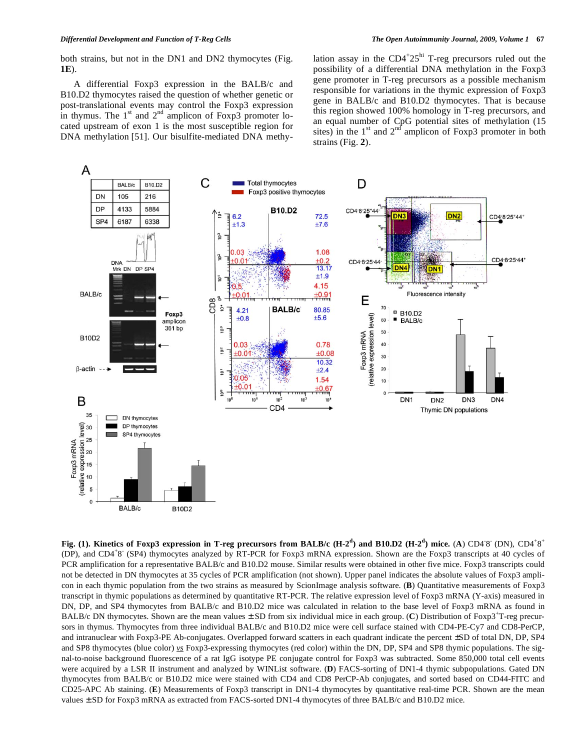both strains, but not in the DN1 and DN2 thymocytes (Fig. **1E**).

 A differential Foxp3 expression in the BALB/c and B10.D2 thymocytes raised the question of whether genetic or post-translational events may control the Foxp3 expression in thymus. The  $1<sup>st</sup>$  and  $2<sup>nd</sup>$  amplicon of Foxp3 promoter located upstream of exon 1 is the most susceptible region for DNA methylation [51]. Our bisulfite-mediated DNA methy-

lation assay in the  $CD4+25^{\text{hi}}$  T-reg precursors ruled out the possibility of a differential DNA methylation in the Foxp3 gene promoter in T-reg precursors as a possible mechanism responsible for variations in the thymic expression of Foxp3 gene in BALB/c and B10.D2 thymocytes. That is because this region showed 100% homology in T-reg precursors, and an equal number of CpG potential sites of methylation (15 sites) in the  $1<sup>st</sup>$  and  $2<sup>nd</sup>$  amplicon of Foxp3 promoter in both strains (Fig. **2**).



**Fig. (1). Kinetics of Foxp3 expression in T-reg precursors from BALB/c (H-2<sup>d</sup>) and B10.D2 (H-2<sup>d</sup>) mice. (A) CD4<sup>-8</sup> (DN), CD4<sup>+8+</sup>** (DP), and CD4<sup>+</sup>8<sup>'</sup> (SP4) thymocytes analyzed by RT-PCR for Foxp3 mRNA expression. Shown are the Foxp3 transcripts at 40 cycles of PCR amplification for a representative BALB/c and B10.D2 mouse. Similar results were obtained in other five mice. Foxp3 transcripts could not be detected in DN thymocytes at 35 cycles of PCR amplification (not shown). Upper panel indicates the absolute values of Foxp3 amplicon in each thymic population from the two strains as measured by ScionImage analysis software. (**B**) Quantitative measurements of Foxp3 transcript in thymic populations as determined by quantitative RT-PCR. The relative expression level of Foxp3 mRNA (Y-axis) measured in DN, DP, and SP4 thymocytes from BALB/c and B10.D2 mice was calculated in relation to the base level of Foxp3 mRNA as found in BALB/c DN thymocytes. Shown are the mean values  $\pm$  SD from six individual mice in each group. (C) Distribution of Foxp3<sup>+</sup>T-reg precursors in thymus. Thymocytes from three individual BALB/c and B10.D2 mice were cell surface stained with CD4-PE-Cy7 and CD8-PerCP, and intranuclear with Foxp3-PE Ab-conjugates. Overlapped forward scatters in each quadrant indicate the percent ±SD of total DN, DP, SP4 and SP8 thymocytes (blue color) *vs* Foxp3-expressing thymocytes (red color) within the DN, DP, SP4 and SP8 thymic populations. The signal-to-noise background fluorescence of a rat IgG isotype PE conjugate control for Foxp3 was subtracted. Some 850,000 total cell events were acquired by a LSR II instrument and analyzed by WINList software. (**D**) FACS-sorting of DN1-4 thymic subpopulations. Gated DN thymocytes from BALB/c or B10.D2 mice were stained with CD4 and CD8 PerCP-Ab conjugates, and sorted based on CD44-FITC and CD25-APC Ab staining. (**E**) Measurements of Foxp3 transcript in DN1-4 thymocytes by quantitative real-time PCR. Shown are the mean values  $\pm$  SD for Foxp3 mRNA as extracted from FACS-sorted DN1-4 thymocytes of three BALB/c and B10.D2 mice.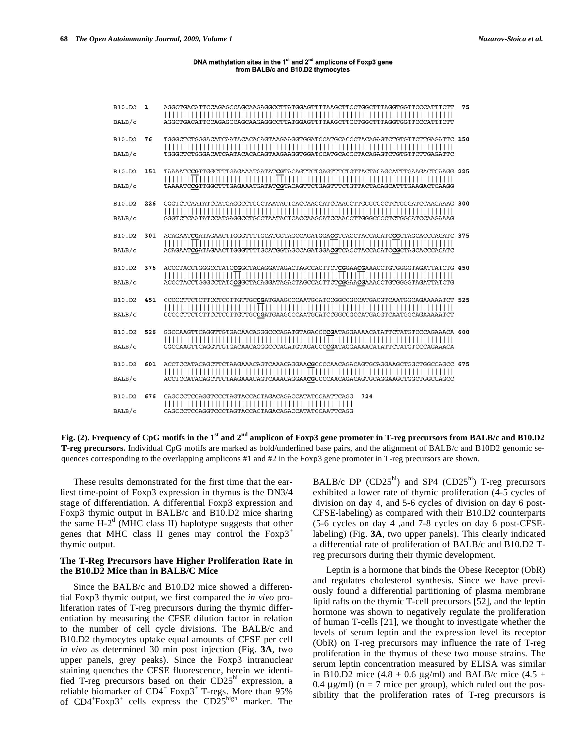#### DNA methylation sites in the 1<sup>st</sup> and 2<sup>nd</sup> amplicons of Foxp3 gene from BALB/c and B10.D2 thymocytes

| B10.D2<br>BALB/c        | 1   | AGGCTGACATTCCAGAGCCAGCAAGAGGCCTTATGGAGTTTTAAGCTTCCTGGCTTTAGGTGGTTCCCATTTCTT<br>AGGCTGACATTCCAGAGCCAGCAAGAGGCCTTATGGAGTTTTAAGCTTCCTGGCTTTAGGTGGTTCCCATTTCTT      | 75 |
|-------------------------|-----|-----------------------------------------------------------------------------------------------------------------------------------------------------------------|----|
| B10.D2<br>BALB/c        | 76  | TGGGCTCTGGGACATCAATACACACAGTAAGAAGGTGGATCCATGCACCCTACAGAGTCTGTGTTCTTGAGATTC 150<br>TGGGCTCTGGGACATCAATACACACAGTAAGAAGGTGGATCCATGCACCCTACAGAGTCTGTGTTCTTGAGATTC  |    |
| B10.D2<br>BALB/c        | 151 | TAAAATCCGTTGGCTTTGAGAAATGATATCGTACAGTTCTGAGTTTCTGTTACTACAGCATTTGAAGACTCAAGG 225<br>TAAAATCCGTTGGCTTTGAGAAATGATATCGTACAGTTCTGAGTTTCTGTTACTACAGCATTTGAAGACTCAAGG  |    |
| B10.D2<br>BALB/c        | 226 | GGGTCTCAATATCCATGAGGCCTGCCTAATACTCACCAAGCATCCAACCTTGGGCCCCTCTGGCATCCAAGAAAG 300<br>GGGTCTCAATATCCATGAGGCCTGCCTAATACTCACCAAGCATCCAACCTTGGGCCCCTCTGGCATCCAAGAAAG  |    |
| B10.D2<br>BALB/c        | 301 | ACAGAATCGATAGAACTTGGGTTTTGCATGGTAGCCAGATGGACGTCACCTACCACATCCGCTAGCACCCACATC 375<br>ACAGAATCGATAGAACTTGGGTTTTGCATGGTAGCCAGATGGACGTCACCTACCACATCCGCTAGCACCCACATC  |    |
| B10.D2<br>BALB/c        | 376 | ACCCTACCTGGGCCTATCCGGCTACAGGATAGACTAGCCACTTCTCGGAACGAAACCTGTGGGGTAGATTATCTG 450<br>ACCCTACCTGGGCCTATCCGGCTACAGGATAGACTAGCCACTTCTCGGAACGAAACCTGTGGGGTAGATTATCTG  |    |
| B10.D2<br>BALB/c        | 451 | CCCCCTTCTCTTCCTCCTTGTTGCCGATGAAGCCCAATGCATCCGGCCGCCATGACGTCAATGGCAGAAAAATCT 525<br>CCCCCTTCTTCTTCCTCCTTGTTGCCGATGAAGCCCAATGCATCCGGCCGCCATGACGTCAATGGCAGAAAAATCT |    |
| B10.D2<br>BALB/c        | 526 | GGCCAAGTTCAGGTTGTGACAACAGGGCCCAGATGTAGACCCCGATAGGAAAACATATTCTATGTCCCAGAAACA 600<br>GGCCAAGTTCAGGTTGTGACAACAGGGCCCAGATGTAGACCCCGATAGGAAAACATATTCTATGTCCCAGAAACA  |    |
| B10.D2<br>BALB/c        | 601 |                                                                                                                                                                 |    |
| <b>B10.D2</b><br>BALB/c | 676 | CAGCCCTCCAGGTCCCTAGTACCACTAGACAGACCATATCCAATTCAGG<br>724<br>CAGCCCTCCAGGTCCCTAGTACCACTAGACAGACCATATCCAATTCAGG                                                   |    |

**Fig. (2). Frequency of CpG motifs in the 1st and 2nd amplicon of Foxp3 gene promoter in T-reg precursors from BALB/c and B10.D2 T-reg precursors.** Individual CpG motifs are marked as bold/underlined base pairs, and the alignment of BALB/c and B10D2 genomic sequences corresponding to the overlapping amplicons #1 and #2 in the Foxp3 gene promoter in T-reg precursors are shown.

 These results demonstrated for the first time that the earliest time-point of Foxp3 expression in thymus is the DN3/4 stage of differentiation. A differential Foxp3 expression and Foxp3 thymic output in BALB/c and B10.D2 mice sharing the same  $H-2<sup>d</sup>$  (MHC class II) haplotype suggests that other genes that MHC class II genes may control the  $F\alpha p3^+$ thymic output.

# **The T-Reg Precursors have Higher Proliferation Rate in the B10.D2 Mice than in BALB/C Mice**

 Since the BALB/c and B10.D2 mice showed a differential Foxp3 thymic output, we first compared the *in vivo* proliferation rates of T-reg precursors during the thymic differentiation by measuring the CFSE dilution factor in relation to the number of cell cycle divisions*.* The BALB/c and B10.D2 thymocytes uptake equal amounts of CFSE per cell *in vivo* as determined 30 min post injection (Fig. **3A**, two upper panels, grey peaks). Since the Foxp3 intranuclear staining quenches the CFSE fluorescence, herein we identified T-reg precursors based on their CD25hi expression, a reliable biomarker of  $CD4^+$  Foxp3<sup>+</sup> T-regs. More than 95% of CD4<sup>+</sup>Foxp3<sup>+</sup> cells express the CD25<sup>high</sup> marker. The BALB/c DP  $(CD25<sup>hi</sup>)$  and SP4  $(CD25<sup>hi</sup>)$  T-reg precursors exhibited a lower rate of thymic proliferation (4-5 cycles of division on day 4, and 5-6 cycles of division on day 6 post-CFSE-labeling) as compared with their B10.D2 counterparts (5-6 cycles on day 4 ,and 7-8 cycles on day 6 post-CFSElabeling) (Fig. **3A**, two upper panels). This clearly indicated a differential rate of proliferation of BALB/c and B10.D2 Treg precursors during their thymic development.

Leptin is a hormone that binds the Obese Receptor (ObR) and regulates cholesterol synthesis. Since we have previously found a differential partitioning of plasma membrane lipid rafts on the thymic T-cell precursors [52], and the leptin hormone was shown to negatively regulate the proliferation of human T-cells [21], we thought to investigate whether the levels of serum leptin and the expression level its receptor (ObR) on T-reg precursors may influence the rate of T-reg proliferation in the thymus of these two mouse strains. The serum leptin concentration measured by ELISA was similar in B10.D2 mice (4.8  $\pm$  0.6 μg/ml) and BALB/c mice (4.5  $\pm$ 0.4  $\mu$ g/ml) (n = 7 mice per group), which ruled out the possibility that the proliferation rates of T-reg precursors is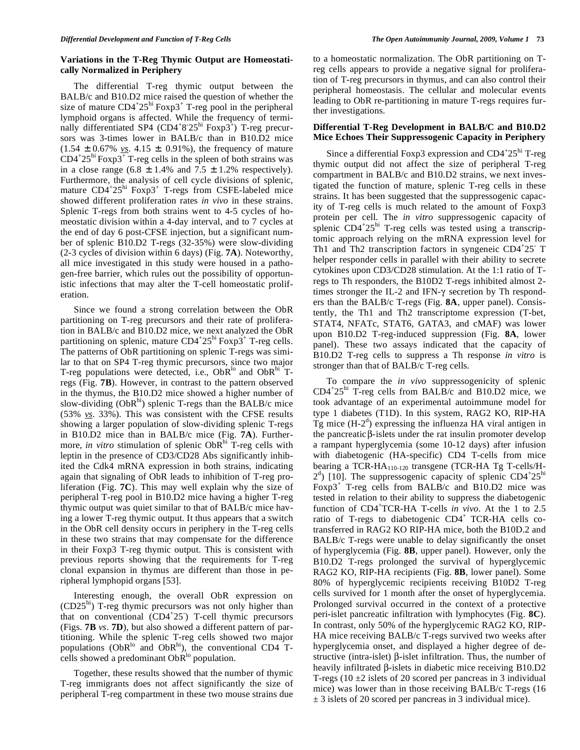# **Variations in the T-Reg Thymic Output are Homeostatically Normalized in Periphery**

 The differential T-reg thymic output between the BALB/c and B10.D2 mice raised the question of whether the size of mature  $CD4+25^{\text{hi}}$  Foxp3<sup>+</sup> T-reg pool in the peripheral lymphoid organs is affected. While the frequency of terminally differentiated SP4 (CD4<sup>+</sup>8<sup>-25hi</sup> Foxp3<sup>+</sup>) T-reg precursors was 3-times lower in BALB/c than in B10.D2 mice (1.54 ± 0.67% *vs*. 4.15 ±. 0.91%), the frequency of mature  $CD4+25^{\text{hi}}$  Foxp3<sup>+</sup> T-reg cells in the spleen of both strains was in a close range  $(6.8 \pm 1.4\%$  and  $7.5 \pm 1.2\%$  respectively). Furthermore, the analysis of cell cycle divisions of splenic, mature CD4+25<sup>hi</sup> Foxp3<sup>+</sup> T-regs from CSFE-labeled mice showed different proliferation rates *in vivo* in these strains. Splenic T-regs from both strains went to 4-5 cycles of homeostatic division within a 4-day interval, and to 7 cycles at the end of day 6 post-CFSE injection, but a significant number of splenic B10.D2 T-regs (32-35%) were slow-dividing (2-3 cycles of division within 6 days) (Fig. **7A**). Noteworthy, all mice investigated in this study were housed in a pathogen-free barrier, which rules out the possibility of opportunistic infections that may alter the T-cell homeostatic proliferation.

 Since we found a strong correlation between the ObR partitioning on T-reg precursors and their rate of proliferation in BALB/c and B10.D2 mice, we next analyzed the ObR partitioning on splenic, mature  $CD4+25^{\text{hi}}$  Foxp3<sup>+</sup> T-reg cells. The patterns of ObR partitioning on splenic T-regs was similar to that on SP4 T-reg thymic precursors, since two major T-reg populations were detected, i.e.,  $ObR^{10}$  and  $ObR^{11}$  Tregs (Fig. **7B**). However, in contrast to the pattern observed in the thymus, the B10.D2 mice showed a higher number of slow-dividing  $(ObR<sup>hi</sup>)$  splenic T-regs than the BALB/c mice (53% *vs*. 33%). This was consistent with the CFSE results showing a larger population of slow-dividing splenic T-regs in B10.D2 mice than in BALB/c mice (Fig. **7A**). Furthermore, *in vitro* stimulation of splenic ObR<sup>hi</sup> T-reg cells with leptin in the presence of CD3/CD28 Abs significantly inhibited the Cdk4 mRNA expression in both strains, indicating again that signaling of ObR leads to inhibition of T-reg proliferation (Fig. **7C**). This may well explain why the size of peripheral T-reg pool in B10.D2 mice having a higher T-reg thymic output was quiet similar to that of BALB/c mice having a lower T-reg thymic output. It thus appears that a switch in the ObR cell density occurs in periphery in the T-reg cells in these two strains that may compensate for the difference in their Foxp3 T-reg thymic output. This is consistent with previous reports showing that the requirements for T-reg clonal expansion in thymus are different than those in peripheral lymphopid organs [53].

 Interesting enough, the overall ObR expression on  $(CD25<sup>hi</sup>)$  T-reg thymic precursors was not only higher than that on conventional (CD4<sup>+</sup>25<sup>-</sup>) T-cell thymic precursors (Figs. **7B** *vs*. **7D**), but also showed a different pattern of partitioning. While the splenic T-reg cells showed two major populations ( $ObR^{lo}$  and  $ObR^{hi}$ ), the conventional CD4 Tcells showed a predominant  $ObR^{lo}$  population.

 Together, these results showed that the number of thymic T-reg immigrants does not affect significantly the size of peripheral T-reg compartment in these two mouse strains due to a homeostatic normalization. The ObR partitioning on Treg cells appears to provide a negative signal for proliferation of T-reg precursors in thymus, and can also control their peripheral homeostasis. The cellular and molecular events leading to ObR re-partitioning in mature T-regs requires further investigations.

# **Differential T-Reg Development in BALB/C and B10.D2 Mice Echoes Their Suppressogenic Capacity in Periphery**

Since a differential Foxp3 expression and  $CD4^+25^{\text{hi}}$  T-reg thymic output did not affect the size of peripheral T-reg compartment in BALB/c and B10.D2 strains, we next investigated the function of mature, splenic T-reg cells in these strains. It has been suggested that the suppressogenic capacity of T-reg cells is much related to the amount of Foxp3 protein per cell. The *in vitro* suppressogenic capacity of splenic CD4<sup>+</sup>25<sup>hi</sup> T-reg cells was tested using a transcriptomic approach relying on the mRNA expression level for Th1 and Th2 transcription factors in syngeneic CD4+25 T helper responder cells in parallel with their ability to secrete cytokines upon CD3/CD28 stimulation. At the 1:1 ratio of Tregs to Th responders, the B10D2 T-regs inhibited almost 2 times stronger the IL-2 and IFN- $\gamma$  secretion by Th responders than the BALB/c T-regs (Fig. **8A**, upper panel). Consistently, the Th1 and Th2 transcriptome expression (T-bet, STAT4, NFATc, STAT6, GATA3, and cMAF) was lower upon B10.D2 T-reg-induced suppression (Fig. **8A**, lower panel). These two assays indicated that the capacity of B10.D2 T-reg cells to suppress a Th response *in vitro* is stronger than that of BALB/c T-reg cells.

 To compare the *in vivo* suppressogenicity of splenic CD4<sup>+</sup> 25hi T-reg cells from BALB/c and B10.D2 mice, we took advantage of an experimental autoimmune model for type 1 diabetes (T1D). In this system, RAG2 KO, RIP-HA  $\dot{T}g$  mice (H-2<sup>d</sup>) expressing the influenza HA viral antigen in the pancreatic  $\beta$ -islets under the rat insulin promoter develop a rampant hyperglycemia (some 10-12 days) after infusion with diabetogenic (HA-specific) CD4 T-cells from mice bearing a TCR-HA110-120 transgene (TCR-HA Tg T-cells/H- $2<sup>d</sup>$ ) [10]. The suppressogenic capacity of splenic CD4<sup>+</sup>25<sup>hi</sup> Foxp3<sup>+</sup> T-reg cells from BALB/c and B10.D2 mice was tested in relation to their ability to suppress the diabetogenic function of CD4<sup>+</sup>TCR-HA T-cells *in vivo*. At the 1 to 2.5 ratio of T-regs to diabetogenic CD4<sup>+</sup> TCR-HA cells cotransferred in RAG2 KO RIP-HA mice, both the B10D.2 and BALB/c T-regs were unable to delay significantly the onset of hyperglycemia (Fig. **8B**, upper panel). However, only the B10.D2 T-regs prolonged the survival of hyperglycemic RAG2 KO, RIP-HA recipients (Fig. **8B**, lower panel). Some 80% of hyperglycemic recipients receiving B10D2 T-reg cells survived for 1 month after the onset of hyperglycemia. Prolonged survival occurred in the context of a protective peri-islet pancreatic infiltration with lymphocytes (Fig. **8C**). In contrast, only 50% of the hyperglycemic RAG2 KO, RIP-HA mice receiving BALB/c T-regs survived two weeks after hyperglycemia onset, and displayed a higher degree of destructive (intra-islet)  $\beta$ -islet infiltration. Thus, the number of heavily infiltrated  $\beta$ -islets in diabetic mice receiving B10.D2 T-regs (10  $\pm$ 2 islets of 20 scored per pancreas in 3 individual mice) was lower than in those receiving BALB/c T-regs (16  $\pm$  3 islets of 20 scored per pancreas in 3 individual mice).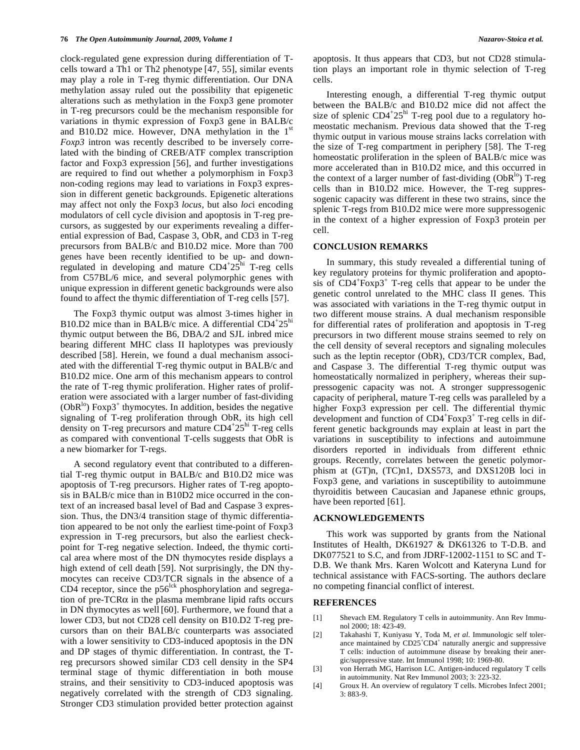clock-regulated gene expression during differentiation of Tcells toward a Th1 or Th2 phenotype [47, 55], similar events may play a role in T-reg thymic differentiation. Our DNA methylation assay ruled out the possibility that epigenetic alterations such as methylation in the Foxp3 gene promoter in T-reg precursors could be the mechanism responsible for variations in thymic expression of Foxp3 gene in BALB/c and B10.D2 mice. However, DNA methylation in the  $1<sup>st</sup>$ *Foxp3* intron was recently described to be inversely correlated with the binding of CREB/ATF complex transcription factor and Foxp3 expression [56], and further investigations are required to find out whether a polymorphism in Foxp3 non-coding regions may lead to variations in Foxp3 expression in different genetic backgrounds. Epigenetic alterations may affect not only the Foxp3 *locus*, but also *loc*i encoding modulators of cell cycle division and apoptosis in T-reg precursors, as suggested by our experiments revealing a differential expression of Bad, Caspase 3, ObR, and CD3 in T-reg precursors from BALB/c and B10.D2 mice. More than 700 genes have been recently identified to be up- and downregulated in developing and mature  $CD4^+25^{\text{hi}}$  T-reg cells from C57BL/6 mice, and several polymorphic genes with unique expression in different genetic backgrounds were also found to affect the thymic differentiation of T-reg cells [57].

 The Foxp3 thymic output was almost 3-times higher in B10.D2 mice than in BALB/c mice. A differential  $CD4^+25^{\text{hi}}$ thymic output between the B6, DBA/2 and SJL inbred mice bearing different MHC class II haplotypes was previously described [58]. Herein, we found a dual mechanism associated with the differential T-reg thymic output in BALB/c and B10.D2 mice. One arm of this mechanism appears to control the rate of T-reg thymic proliferation. Higher rates of proliferation were associated with a larger number of fast-dividing (ObR<sup>lo</sup>) Foxp3<sup>+</sup> thymocytes. In addition, besides the negative signaling of T-reg proliferation through ObR, its high cell density on T-reg precursors and mature CD4+25<sup>hi</sup> T-reg cells as compared with conventional T-cells suggests that ObR is a new biomarker for T-regs.

 A second regulatory event that contributed to a differential T-reg thymic output in BALB/c and B10.D2 mice was apoptosis of T-reg precursors. Higher rates of T-reg apoptosis in BALB/c mice than in B10D2 mice occurred in the context of an increased basal level of Bad and Caspase 3 expression. Thus, the DN3/4 transition stage of thymic differentiation appeared to be not only the earliest time-point of Foxp3 expression in T-reg precursors, but also the earliest checkpoint for T-reg negative selection. Indeed, the thymic cortical area where most of the DN thymocytes reside displays a high extend of cell death [59]. Not surprisingly, the DN thymocytes can receive CD3/TCR signals in the absence of a CD4 receptor, since the  $p56$ <sup>lck</sup> phosphorylation and segregation of pre-TCR $\alpha$  in the plasma membrane lipid rafts occurs in DN thymocytes as well [60]. Furthermore, we found that a lower CD3, but not CD28 cell density on B10.D2 T-reg precursors than on their BALB/c counterparts was associated with a lower sensitivity to CD3-induced apoptosis in the DN and DP stages of thymic differentiation. In contrast, the Treg precursors showed similar CD3 cell density in the SP4 terminal stage of thymic differentiation in both mouse strains, and their sensitivity to CD3-induced apoptosis was negatively correlated with the strength of CD3 signaling. Stronger CD3 stimulation provided better protection against apoptosis. It thus appears that CD3, but not CD28 stimulation plays an important role in thymic selection of T-reg cells.

 Interesting enough, a differential T-reg thymic output between the BALB/c and B10.D2 mice did not affect the size of splenic  $CD4+25^{\text{hi}}$  T-reg pool due to a regulatory homeostatic mechanism. Previous data showed that the T-reg thymic output in various mouse strains lacks correlation with the size of T-reg compartment in periphery [58]. The T-reg homeostatic proliferation in the spleen of BALB/c mice was more accelerated than in B10.D2 mice, and this occurred in the context of a larger number of fast-dividing  $(ObR<sup>10</sup>)$  T-reg cells than in B10.D2 mice. However, the T-reg suppressogenic capacity was different in these two strains, since the splenic T-regs from B10.D2 mice were more suppressogenic in the context of a higher expression of Foxp3 protein per cell.

## **CONCLUSION REMARKS**

 In summary, this study revealed a differential tuning of key regulatory proteins for thymic proliferation and apoptosis of CD4<sup>+</sup>Foxp3<sup>+</sup> T-reg cells that appear to be under the genetic control unrelated to the MHC class II genes. This was associated with variations in the T-reg thymic output in two different mouse strains. A dual mechanism responsible for differential rates of proliferation and apoptosis in T-reg precursors in two different mouse strains seemed to rely on the cell density of several receptors and signaling molecules such as the leptin receptor (ObR), CD3/TCR complex, Bad, and Caspase 3. The differential T-reg thymic output was homeostatically normalized in periphery, whereas their suppressogenic capacity was not. A stronger suppressogenic capacity of peripheral, mature T-reg cells was paralleled by a higher Foxp3 expression per cell. The differential thymic development and function of CD4<sup>+</sup>Foxp3<sup>+</sup> T-reg cells in different genetic backgrounds may explain at least in part the variations in susceptibility to infections and autoimmune disorders reported in individuals from different ethnic groups. Recently, correlates between the genetic polymorphism at (GT)n, (TC)n1, DXS573, and DXS120B loci in Foxp3 gene, and variations in susceptibility to autoimmune thyroiditis between Caucasian and Japanese ethnic groups, have been reported [61].

# **ACKNOWLEDGEMENTS**

 This work was supported by grants from the National Institutes of Health, DK61927 & DK61326 to T-D.B. and DK077521 to S.C, and from JDRF-12002-1151 to SC and T-D.B. We thank Mrs. Karen Wolcott and Kateryna Lund for technical assistance with FACS-sorting. The authors declare no competing financial conflict of interest.

#### **REFERENCES**

- [1] Shevach EM. Regulatory T cells in autoimmunity. Ann Rev Immunol 2000; 18: 423-49.
- [2] Takahashi T, Kuniyasu Y, Toda M, *et al*. Immunologic self tolerance maintained by CD25<sup>+</sup>CD4<sup>+</sup> naturally anergic and suppressive T cells: induction of autoimmune disease by breaking their anergic/suppressive state. Int Immunol 1998; 10: 1969-80.
- [3] von Herrath MG, Harrison LC. Antigen-induced regulatory T cells in autoimmunity. Nat Rev Immunol 2003; 3: 223-32.
- [4] Groux H. An overview of regulatory T cells. Microbes Infect 2001; 3: 883-9.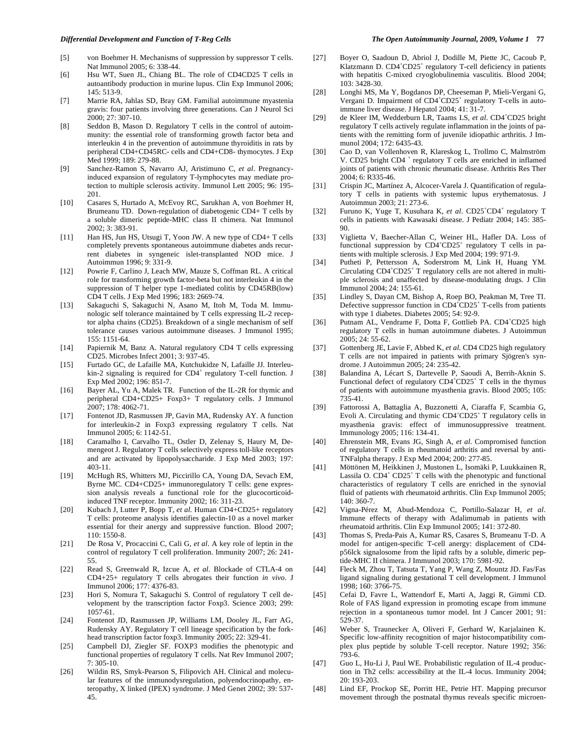- [6] Hsu WT, Suen JL, Chiang BL. The role of CD4CD25 T cells in autoantibody production in murine lupus. Clin Exp Immunol 2006; 145: 513-9.
- [7] Marrie RA, Jahlas SD, Bray GM. Familial autoimmune myastenia gravis: four patients involving three generations. Can J Neurol Sci 2000; 27: 307-10.
- [8] Seddon B, Mason D. Regulatory T cells in the control of autoimmunity: the essential role of transforming growth factor beta and interleukin 4 in the prevention of autoimmune thyroiditis in rats by peripheral CD4+CD45RC- cells and CD4+CD8- thymocytes. J Exp Med 1999; 189: 279-88.
- [9] Sanchez-Ramon S, Navarro AJ, Aristimuno C, *et al*. Pregnancyinduced expansion of regulatory T-lymphocytes may mediate protection to multiple sclerosis activity. Immunol Lett 2005; 96: 195- 201.
- [10] Casares S, Hurtado A, McEvoy RC, Sarukhan A, von Boehmer H, Brumeanu TD. Down-regulation of diabetogenic CD4+ T cells by a soluble dimeric peptide-MHC class II chimera. Nat Immunol 2002; 3: 383-91.
- [11] Han HS, Jun HS, Utsugi T, Yoon JW. A new type of CD4+ T cells completely prevents spontaneous autoimmune diabetes ands recurrent diabetes in syngeneic islet-transplanted NOD mice. J Autoimmun 1996; 9: 331-9.
- [12] Powrie F, Carlino J, Leach MW, Mauze S, Coffman RL. A critical role for transforming growth factor-beta but not interleukin 4 in the suppression of T helper type 1-mediated colitis by CD45RB(low) CD4 T cells. J Exp Med 1996; 183: 2669-74.
- [13] Sakaguchi S, Sakaguchi N, Asano M, Itoh M, Toda M. Immunologic self tolerance maintained by T cells expressing IL-2 receptor alpha chains (CD25). Breakdown of a single mechanism of self tolerance causes various autoimmune diseases. J Immunol 1995; 155: 1151-64.
- [14] Papiernik M, Banz A. Natural regulatory CD4 T cells expressing CD25. Microbes Infect 2001; 3: 937-45.
- [15] Furtado GC, de Lafaille MA, Kutchukidze N, Lafaille JJ. Interleu- $\sin 2$  signaling is required for CD4<sup>+</sup> regulatory T-cell function. J Exp Med 2002; 196: 851-7.
- [16] Bayer AL, Yu A, Malek TR. Function of the IL-2R for thymic and peripheral CD4+CD25+ Foxp3+ T regulatory cells. J Immunol 2007; 178: 4062-71.
- [17] Fontenot JD, Rasmussen JP, Gavin MA, Rudensky AY. A function for interleukin-2 in Foxp3 expressing regulatory T cells. Nat Immunol 2005; 6: 1142-51.
- [18] Caramalho I, Carvalho TL, Ostler D, Zelenay S, Haury M, Demengeot J. Regulatory T cells selectively express toll-like receptors and are activated by lipopolysaccharide. J Exp Med 2003; 197: 403-11.
- [19] McHugh RS, Whitters MJ, Piccirillo CA, Young DA, Sevach EM, Byrne MC. CD4+CD25+ immunoregulatory T cells: gene expression analysis reveals a functional role for the glucocorticoidinduced TNF receptor. Immunity 2002; 16: 311-23.
- [20] Kubach J, Lutter P, Bopp T, *et al*. Human CD4+CD25+ regulatory T cells: proteome analysis identifies galectin-10 as a novel marker essential for their anergy and suppressive function. Blood 2007; 110: 1550-8.
- [21] De Rosa V, Procaccini C, Cali G, *et al*. A key role of leptin in the control of regulatory T cell proliferation. Immunity 2007; 26: 241- 55.
- [22] Read S, Greenwald R, Izcue A, *et al*. Blockade of CTLA-4 on CD4+25+ regulatory T cells abrogates their function *in vivo*. J Immunol 2006; 177: 4376-83.
- [23] Hori S, Nomura T, Sakaguchi S. Control of regulatory T cell development by the transcription factor Foxp3. Science 2003; 299: 1057-61.
- [24] Fontenot JD, Rasmussen JP, Williams LM, Dooley JL, Farr AG, Rudensky AY. Regulatory T cell lineage specification by the forkhead transcription factor foxp3. Immunity 2005; 22: 329-41.
- [25] Campbell DJ, Ziegler SF. FOXP3 modifies the phenotypic and functional properties of regulatory T cells. Nat Rev Immunol 2007; 7: 305-10.
- [26] Wildin RS, Smyk-Pearson S, Filipovich AH. Clinical and molecular features of the immunodysregulation, polyendocrinopathy, enteropathy, X linked (IPEX) syndrome. J Med Genet 2002; 39: 537- 45.
- [27] Boyer O, Saadoun D, Abriol J, Dodille M, Piette JC, Cacoub P, Klatzmann D. CD4<sup>+</sup>CD25<sup>+</sup> regulatory T-cell deficiency in patients with hepatitis C-mixed cryoglobulinemia vasculitis. Blood 2004; 103: 3428-30.
- [28] Longhi MS, Ma Y, Bogdanos DP, Cheeseman P, Mieli-Vergani G, Vergani D. Impairment of CD4<sup>+</sup>CD25<sup>+</sup> regulatory T-cells in autoimmune liver disease. J Hepatol 2004; 41: 31-7.
- [29] de Kleer IM, Wedderburn LR, Taams LS, et al. CD4<sup>+</sup>CD25 bright regulatory T cells actively regulate inflammation in the joints of patients with the remitting form of juvenile idiopathic arthritis. J Immunol 2004; 172: 6435-43.
- [30] Cao D, van Vollenhoven R, Klareskog L, Trollmo C, Malmström V. CD25 bright CD4 <sup>+</sup> regulatory T cells are enriched in inflamed joints of patients with chronic rheumatic disease. Arthritis Res Ther 2004; 6: R335-46.
- [31] Crispin JC, Martínez A, Alcocer-Varela J. Quantification of regulatory T cells in patients with systemic lupus erythematosus. J Autoimmun 2003; 21: 273-6.
- [32] Furuno K, Yuge T, Kusuhara K, et al. CD25<sup>+</sup>CD4<sup>+</sup> regulatory T cells in patients with Kawasaki disease. J Pediatr 2004; 145: 385- 90.
- [33] Viglietta V, Baecher-Allan C, Weiner HL, Hafler DA. Loss of functional suppression by  $CD4+CD25+$  regulatory T cells in patients with multiple sclerosis. J Exp Med 2004; 199: 971-9.
- [34] Putheti P, Pettersson A, Soderstrom M, Link H, Huang YM. Circulating  $CD4^+CD25^+$  T regulatory cells are not altered in multiple sclerosis and unaffected by disease-modulating drugs. J Clin Immunol 2004; 24: 155-61.
- [35] Lindley S, Dayan CM, Bishop A, Roep BO, Peakman M, Tree TI. Defective suppressor function in CD4<sup>+</sup>CD25<sup>+</sup> T-cells from patients with type 1 diabetes. Diabetes 2005; 54: 92-9.
- [36] Putnam AL, Vendrame F, Dotta F, Gottlieb PA. CD4+CD25 high regulatory T cells in human autoimmune diabetes. J Autoimmun 2005; 24: 55-62.
- [37] Gottenberg JE, Lavie F, Abbed K, *et al*. CD4 CD25 high regulatory T cells are not impaired in patients with primary Sjögren's syndrome. J Autoimmun 2005; 24: 235-42.
- [38] Balandina A, Lécart S, Dartevelle P, Saoudi A, Berrih-Aknin S. Functional defect of regulatory CD4<sup>+</sup>CD25<sup>+</sup> T cells in the thymus of patients with autoimmune myasthenia gravis. Blood 2005; 105: 735-41.
- [39] Fattorossi A, Battaglia A, Buzzonetti A, Ciaraffa F, Scambia G, Evoli A. Circulating and thymic CD4<sup>+</sup>CD25<sup>+</sup> T regulatory cells in myasthenia gravis: effect of immunosuppressive treatment. Immunology 2005; 116: 134-41.
- [40] Ehrenstein MR, Evans JG, Singh A, *et al*. Compromised function of regulatory T cells in rheumatoid arthritis and reversal by anti-TNFalpha therapy. J Exp Med 2004; 200: 277-85.
- [41] Möttönen M, Heikkinen J, Mustonen L, Isomäki P, Luukkainen R, Lassila O.  $CD4^+$   $CD25^+$  T cells with the phenotypic and functional characteristics of regulatory T cells are enriched in the synovial fluid of patients with rheumatoid arthritis. Clin Exp Immunol 2005; 140: 360-7.
- [42] Vigna-Pérez M, Abud-Mendoza C, Portillo-Salazar H, *et al*. Immune effects of therapy with Adalimumab in patients with rheumatoid arthritis. Clin Exp Immunol 2005; 141: 372-80.
- [43] Thomas S, Preda-Pais A, Kumar RS, Casares S, Brumeanu T-D. A model for antigen-specific T-cell anergy: displacement of CD4 p56lck signalosome from the lipid rafts by a soluble, dimeric peptide-MHC II chimera. J Immunol 2003; 170: 5981-92.
- [44] Fleck M, Zhou T, Tatsuta T, Yang P, Wang Z, Mountz JD. Fas/Fas ligand signaling during gestational T cell development. J Immunol 1998; 160: 3766-75.
- [45] Cefai D, Favre L, Wattendorf E, Marti A, Jaggi R, Gimmi CD. Role of FAS ligand expression in promoting escape from immune rejection in a spontaneous tumor model. Int J Cancer 2001; 91: 529-37.
- [46] Weber S, Traunecker A, Oliveri F, Gerhard W, Karjalainen K. Specific low-affinity recognition of major histocompatibility complex plus peptide by soluble T-cell receptor. Nature 1992; 356: 793-6.
- [47] Guo L, Hu-Li J, Paul WE. Probabilistic regulation of IL-4 production in Th2 cells: accessibility at the IL-4 locus. Immunity 2004; 20: 193-203.
- [48] Lind EF, Prockop SE, Porritt HE, Petrie HT. Mapping precursor movement through the postnatal thymus reveals specific microen-